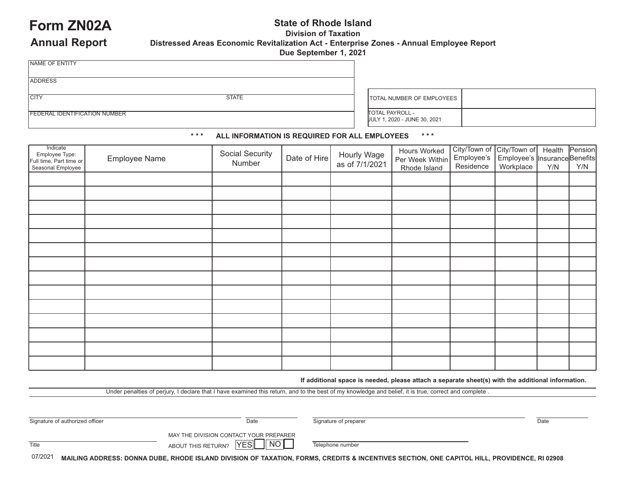### **Form ZN02A** State of Rhode Island **Property** State of Rhode Island *Division of Taxation* **Distressed Areas Economic Revitalization Act - Enterprise Zones - Annual Employee Report Due September 1, 2021**

|  | <b>Annual Report</b> |
|--|----------------------|
|--|----------------------|

|  |  | <b>Due Sep</b> |
|--|--|----------------|
|  |  |                |
|  |  |                |
|  |  |                |

ADDRESS

NAME OF ENTITY

CITY STATE

TOTAL NUMBER OF EMPLOYEES

FEDERAL IDENTIFICATION NUMBER

TOTAL PAYROLL - JULY 1, 2020 - JUNE 30, 2021

### **\* \* \* ALL INFORMATION IS REQUIRED FOR ALL EMPLOYEES  \* \* \***

| Indicate<br>Employee Type:<br>Full time, Part time or<br>Seasonal Employee | Employee Name | Social Security<br>Number | Date of Hire | Hourly Wage<br>as of 7/1/2021 | Hours Worked<br>Per Week Within<br>Rhode Island | City/Town of City/Town of<br>Employee's Employee's II<br>Residence | Employee's Insurance Benefits<br>Workplace | Health<br>Y/N | Pension<br>Y/N |
|----------------------------------------------------------------------------|---------------|---------------------------|--------------|-------------------------------|-------------------------------------------------|--------------------------------------------------------------------|--------------------------------------------|---------------|----------------|
|                                                                            |               |                           |              |                               |                                                 |                                                                    |                                            |               |                |
|                                                                            |               |                           |              |                               |                                                 |                                                                    |                                            |               |                |
|                                                                            |               |                           |              |                               |                                                 |                                                                    |                                            |               |                |
|                                                                            |               |                           |              |                               |                                                 |                                                                    |                                            |               |                |
|                                                                            |               |                           |              |                               |                                                 |                                                                    |                                            |               |                |
|                                                                            |               |                           |              |                               |                                                 |                                                                    |                                            |               |                |
|                                                                            |               |                           |              |                               |                                                 |                                                                    |                                            |               |                |
|                                                                            |               |                           |              |                               |                                                 |                                                                    |                                            |               |                |
|                                                                            |               |                           |              |                               |                                                 |                                                                    |                                            |               |                |
|                                                                            |               |                           |              |                               |                                                 |                                                                    |                                            |               |                |
|                                                                            |               |                           |              |                               |                                                 |                                                                    |                                            |               |                |
|                                                                            |               |                           |              |                               |                                                 |                                                                    |                                            |               |                |
|                                                                            |               |                           |              |                               |                                                 |                                                                    |                                            |               |                |
|                                                                            |               |                           |              |                               |                                                 |                                                                    |                                            |               |                |

**If additional space is needed, please attach a separate sheet(s) with the additional information.**

Under penalties of perjury, I declare that I have examined this return, and to the best of my knowledge and belief, it is true, correct and complete .

| Signature of authorized officer | Date                                                                                                                         | Signature of preparer | Date |
|---------------------------------|------------------------------------------------------------------------------------------------------------------------------|-----------------------|------|
| Title                           | MAY THE DIVISION CONTACT YOUR PREPARER<br>$\overline{\phantom{a}}$ NO $\overline{\phantom{a}}$<br>YESI<br>ABOUT THIS RETURN? | Telephone number      |      |
| $\sim$ $\sim$ $\sim$ $\sim$     |                                                                                                                              |                       |      |

07/2021 MAILING ADDRESS: DONNA DUBE, RHODE ISLAND DIVISION OF TAXATION, FORMS, CREDITS & INCENTIVES SECTION, ONE CAPITOL HILL, PROVIDENCE, RI 02908